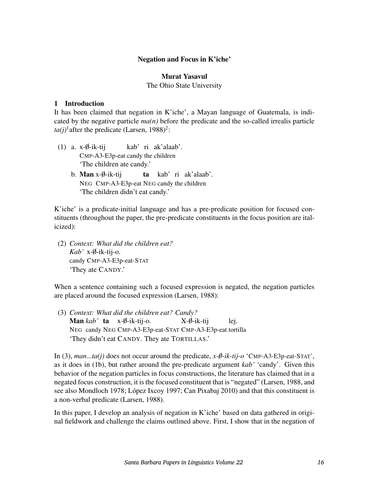### Negation and Focus in K'iche'

#### Murat Yasavul

The Ohio State University

#### 1 Introduction

It has been claimed that negation in K'iche', a Mayan language of Guatemala, is indicated by the negative particle  $ma(n)$  before the predicate and the so-called irrealis particle  $ta(j)$ <sup>1</sup> after the predicate (Larsen, 1988)<sup>2</sup>:

- (1) a.  $x-\emptyset$ -ik-tij CMP-A3-E3p-eat candy the children kab' ri ak'alaab'. 'The children ate candy.'
	- b. **Man** x-Ø-ik-tij NEG CMP-A3-E3p-eat NEG candy the children ta kab' ri ak'alaab'. 'The children didn't eat candy.'

K'iche' is a predicate-initial language and has a pre-predicate position for focused constituents (throughout the paper, the pre-predicate constituents in the focus position are italicized):

(2) *Context: What did the children eat? Kab'* x-0-ik-tij-o. ✁ candy CMP-A3-E3p-eat-STAT 'They ate CANDY.'

When a sentence containing such a focused expression is negated, the negation particles are placed around the focused expression (Larsen, 1988):

(3) *Context: What did the children eat? Candy?* **Man** *kab* ' **ta** x-Ø-ik-tij-o. NEG candy NEG CMP-A3-E3p-eat-STAT CMP-A3-E3p-eat tortilla  $X-\emptyset$ -ik-tij lej. 'They didn't eat CANDY. They ate TORTILLAS.'

In (3), *man...ta(j)* does not occur around the predicate,  $x-\theta$ -ik-tij-o 'CMP-A3-E3p-eat-STAT', as it does in (1b), but rather around the pre-predicate argument *kab'* 'candy'. Given this behavior of the negation particles in focus constructions, the literature has claimed that in a negated focus construction, it is the focused constituent that is "negated" (Larsen, 1988, and see also Mondloch 1978; López Ixcoy 1997; Can Pixabaj 2010) and that this constituent is a non-verbal predicate (Larsen, 1988).

In this paper, I develop an analysis of negation in K'iche' based on data gathered in original fieldwork and challenge the claims outlined above. First, I show that in the negation of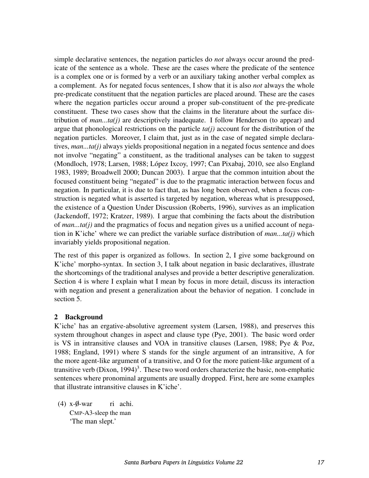simple declarative sentences, the negation particles do *not* always occur around the predicate of the sentence as a whole. These are the cases where the predicate of the sentence is a complex one or is formed by a verb or an auxiliary taking another verbal complex as a complement. As for negated focus sentences, I show that it is also *not* always the whole pre-predicate constituent that the negation particles are placed around. These are the cases where the negation particles occur around a proper sub-constituent of the pre-predicate constituent. These two cases show that the claims in the literature about the surface distribution of *man...ta(j)* are descriptively inadequate. I follow Henderson (to appear) and argue that phonological restrictions on the particle *ta(j)* account for the distribution of the negation particles. Moreover, I claim that, just as in the case of negated simple declaratives, *man...ta(j)* always yields propositional negation in a negated focus sentence and does not involve "negating" a constituent, as the traditional analyses can be taken to suggest (Mondloch, 1978; Larsen, 1988; López Ixcoy, 1997; Can Pixabaj, 2010, see also England 1983, 1989; Broadwell 2000; Duncan 2003). I argue that the common intuition about the focused constituent being "negated" is due to the pragmatic interaction between focus and negation. In particular, it is due to fact that, as has long been observed, when a focus construction is negated what is asserted is targeted by negation, whereas what is presupposed, the existence of a Question Under Discussion (Roberts, 1996), survives as an implication (Jackendoff, 1972; Kratzer, 1989). I argue that combining the facts about the distribution of *man...ta(j)* and the pragmatics of focus and negation gives us a unified account of negation in K'iche' where we can predict the variable surface distribution of *man...ta(j)* which invariably yields propositional negation.

The rest of this paper is organized as follows. In section 2, I give some background on K'iche' morpho-syntax. In section 3, I talk about negation in basic declaratives, illustrate the shortcomings of the traditional analyses and provide a better descriptive generalization. Section 4 is where I explain what I mean by focus in more detail, discuss its interaction with negation and present a generalization about the behavior of negation. I conclude in section 5.

### 2 Background

K'iche' has an ergative-absolutive agreement system (Larsen, 1988), and preserves this system throughout changes in aspect and clause type (Pye, 2001). The basic word order is VS in intransitive clauses and VOA in transitive clauses (Larsen, 1988; Pye & Poz, 1988; England, 1991) where S stands for the single argument of an intransitive, A for the more agent-like argument of a transitive, and O for the more patient-like argument of a transitive verb (Dixon,  $1994$ )<sup>3</sup>. These two word orders characterize the basic, non-emphatic sentences where pronominal arguments are usually dropped. First, here are some examples that illustrate intransitive clauses in K'iche'.

 $(4)$  x- $\emptyset$ -war CMP-A3-sleep the man ri achi. 'The man slept.'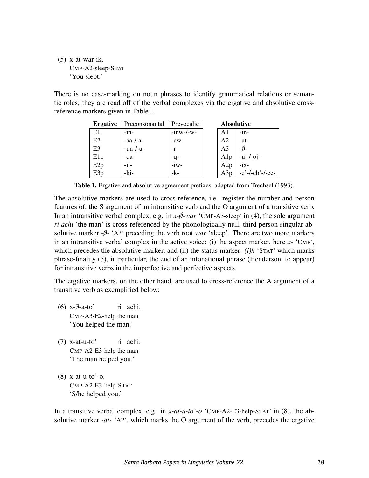(5) x-at-war-ik. CMP-A2-sleep-STAT 'You slept.'

There is no case-marking on noun phrases to identify grammatical relations or semantic roles; they are read off of the verbal complexes via the ergative and absolutive crossreference markers given in Table 1.

| <b>Ergative</b> | Preconsonantal | Prevocalic   | <b>Absolutive</b> |                |                    |
|-----------------|----------------|--------------|-------------------|----------------|--------------------|
| E1              | $-1n-$         | $-inw$ -/-w- |                   | A1             | $-in-$             |
| E2              | $-aa$ - $/a$ - | $-aw-$       |                   | A2             | $-at-$             |
| E <sub>3</sub>  | $-uu$ - $-u$ - | $-r-$        |                   | A <sub>3</sub> | $-\emptyset$ -     |
| E1p             | -qa-           | -q-          |                   | A1p            | $-uj$ - $/$ -oj-   |
| E2p             | $-i$ i-        | $-iw-$       |                   | A2p            | $-ix-$             |
| E3p             | -ki-           | -k-          |                   | A3p            | $-e'$ -/-eb'-/-ee- |

Table 1. Ergative and absolutive agreement prefixes, adapted from Trechsel (1993).

The absolutive markers are used to cross-reference, i.e. register the number and person features of, the S argument of an intransitive verb and the O argument of a transitive verb. In an intransitive verbal complex, e.g. in  $x \text{-} \emptyset$ -war 'CMP-A3-sleep' in (4), the sole argument *ri achi* 'the man' is cross-referenced by the phonologically null, third person singular absolutive marker  $-\iota$ -  $\Delta$ <sup>3</sup> preceding the verb root *war* 'sleep'. There are two more markers in an intransitive verbal complex in the active voice: (i) the aspect marker, here *x-* 'CMP', which precedes the absolutive marker, and (ii) the status marker *-(i)k* 'STAT' which marks phrase-finality (5), in particular, the end of an intonational phrase (Henderson, to appear) for intransitive verbs in the imperfective and perfective aspects.

The ergative markers, on the other hand, are used to cross-reference the A argument of a transitive verb as exemplified below:

- $(6)$  x- $\emptyset$ -a-to' CMP-A3-E2-help the man ri achi. 'You helped the man.'
- (7) x-at-u-to' CMP-A2-E3-help the man ri achi. 'The man helped you.'
- (8) x-at-u-to'-o. CMP-A2-E3-help-STAT 'S/he helped you.'

In a transitive verbal complex, e.g. in *x-at-u-to'-o* 'CMP-A2-E3-help-STAT' in (8), the absolutive marker *-at-* 'A2', which marks the O argument of the verb, precedes the ergative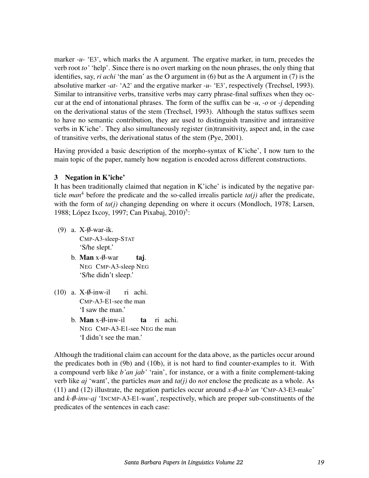marker *-u-* 'E3', which marks the A argument. The ergative marker, in turn, precedes the verb root *to'* 'help'. Since there is no overt marking on the noun phrases, the only thing that identifies, say, *ri achi* 'the man' as the O argument in (6) but as the A argument in (7) is the absolutive marker *-at-* 'A2' and the ergative marker *-u-* 'E3', respectively (Trechsel, 1993). Similar to intransitive verbs, transitive verbs may carry phrase-final suffixes when they occur at the end of intonational phrases. The form of the suffix can be *-u*, *-o* or *-j* depending on the derivational status of the stem (Trechsel, 1993). Although the status suffixes seem to have no semantic contribution, they are used to distinguish transitive and intransitive verbs in K'iche'. They also simultaneously register (in)transitivity, aspect and, in the case of transitive verbs, the derivational status of the stem (Pye, 2001).

Having provided a basic description of the morpho-syntax of K'iche', I now turn to the main topic of the paper, namely how negation is encoded across different constructions.

### 3 Negation in K'iche'

It has been traditionally claimed that negation in  $K$  iche' is indicated by the negative particle *man*<sup>4</sup> before the predicate and the so-called irrealis particle  $ta(j)$  after the predicate, with the form of  $ta(i)$  changing depending on where it occurs (Mondloch, 1978; Larsen, 1988; López Ixcoy, 1997; Can Pixabaj, 2010)<sup>5</sup>:

- (9) a.  $X-\emptyset$ -war-ik. CMP-A3-sleep-STAT 'S/he slept.'
	- b. **Man** x-Ø-war NEG CMP-A3-sleep NEG taj. 'S/he didn't sleep.'
- $(10)$  a. X- $\emptyset$ -inw-il CMP-A3-E1-see the man ri achi. 'I saw the man.'
	- b. Man x-Ø-inw-il NEG CMP-A3-E1-see NEG the man ta ri achi. 'I didn't see the man.'

Although the traditional claim can account for the data above, as the particles occur around the predicates both in (9b) and (10b), it is not hard to find counter-examples to it. With a compound verb like *b'an jab'* 'rain', for instance, or a with a finite complement-taking verb like *aj* 'want', the particles *man* and *ta(j)* do *not* enclose the predicate as a whole. As (11) and (12) illustrate, the negation particles occur around  $x-\theta$ -u-b'an 'CMP-A3-E3-make' and  $k-\theta$ -inw-aj 'INCMP-A3-E1-want', respectively, which are proper sub-constituents of the predicates of the sentences in each case: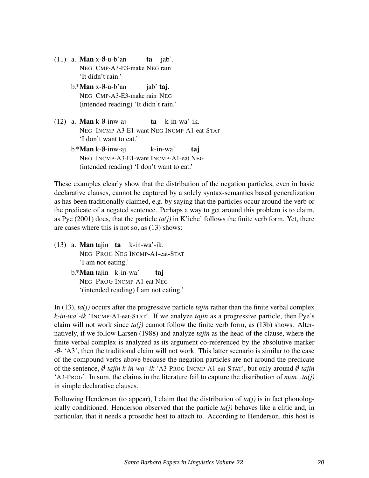- $(11)$  a. **Man** x- $\emptyset$ -u-b'an NEG CMP-A3-E3-make NEG rain ta jab'. 'It didn't rain.'
	- b.\***Man** x-Ø-u-b'an NEG CMP-A3-E3-make rain NEG jab' taj. (intended reading) 'It didn't rain.'
- (12) a. **Man** k- $\emptyset$ -inw-aj NEG INCMP-A3-E1-want NEG INCMP-A1-eat-STAT ta k-in-wa'-ik. 'I don't want to eat.'
	- b.\***Man** k-Ø-inw-aj NEG INCMP-A3-E1-want INCMP-A1-eat NEG k-in-wa' taj (intended reading) 'I don't want to eat.'

These examples clearly show that the distribution of the negation particles, even in basic declarative clauses, cannot be captured by a solely syntax-semantics based generalization as has been traditionally claimed, e.g. by saying that the particles occur around the verb or the predicate of a negated sentence. Perhaps a way to get around this problem is to claim, as Pye  $(2001)$  does, that the particle  $ta(j)$  in K'iche' follows the finite verb form. Yet, there are cases where this is not so, as (13) shows:

- (13) a. Man tajin ta k-in-wa'-ik. NEG PROG NEG INCMP-A1-eat-STAT 'I am not eating.'
	- b.\*Man tajin k-in-wa' NEG PROG INCMP-A1-eat NEG taj '(intended reading) I am not eating.'

In (13), *ta(j)* occurs after the progressive particle *tajin* rather than the finite verbal complex *k-in-wa'-ik* 'INCMP-A1-eat-STAT'. If we analyze *tajin* as a progressive particle, then Pye's claim will not work since  $ta(j)$  cannot follow the finite verb form, as (13b) shows. Alternatively, if we follow Larsen (1988) and analyze *tajin* as the head of the clause, where the finite verbal complex is analyzed as its argument co-referenced by the absolutive marker *-0-* ✁ 'A3', then the traditional claim will not work. This latter scenario is similar to the case of the compound verbs above because the negation particles are not around the predicate of the sentence, *0-tajin k-in-wa'-ik* ✁ 'A3-PROG INCMP-A1-eat-STAT', but only around *0-tajin* ✁ 'A3-PROG'. In sum, the claims in the literature fail to capture the distribution of *man...ta(j)* in simple declarative clauses.

Following Henderson (to appear), I claim that the distribution of  $ta(j)$  is in fact phonologically conditioned. Henderson observed that the particle *ta(j)* behaves like a clitic and, in particular, that it needs a prosodic host to attach to. According to Henderson, this host is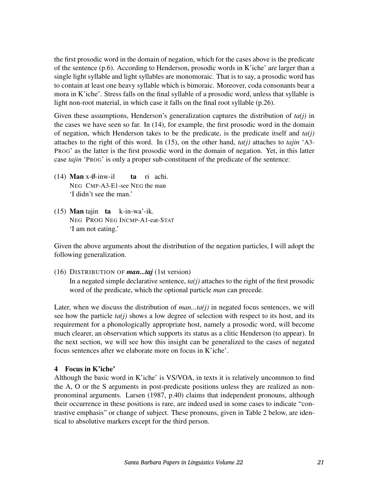the first prosodic word in the domain of negation, which for the cases above is the predicate of the sentence (p.6). According to Henderson, prosodic words in K'iche' are larger than a single light syllable and light syllables are monomoraic. That is to say, a prosodic word has to contain at least one heavy syllable which is bimoraic. Moreover, coda consonants bear a mora in K'iche'. Stress falls on the final syllable of a prosodic word, unless that syllable is light non-root material, in which case it falls on the final root syllable (p.26).

Given these assumptions, Henderson's generalization captures the distribution of *ta(j)* in the cases we have seen so far. In (14), for example, the first prosodic word in the domain of negation, which Henderson takes to be the predicate, is the predicate itself and *ta(j)* attaches to the right of this word. In (15), on the other hand, *ta(j)* attaches to *tajin* 'A3- PROG' as the latter is the first prosodic word in the domain of negation. Yet, in this latter case *tajin* 'PROG' is only a proper sub-constituent of the predicate of the sentence:

- (14) **Man** x- $\emptyset$ -inw-il NEG CMP-A3-E1-see NEG the man ta ri achi. 'I didn't see the man.'
- (15) Man tajin ta k-in-wa'-ik. NEG PROG NEG INCMP-A1-eat-STAT 'I am not eating.'

Given the above arguments about the distribution of the negation particles, I will adopt the following generalization.

(16) DISTRIBUTION OF *man...taj* (1st version)

In a negated simple declarative sentence,  $ta(j)$  attaches to the right of the first prosodic word of the predicate, which the optional particle *man* can precede.

Later, when we discuss the distribution of *man...ta(j)* in negated focus sentences, we will see how the particle  $ta(i)$  shows a low degree of selection with respect to its host, and its requirement for a phonologically appropriate host, namely a prosodic word, will become much clearer, an observation which supports its status as a clitic Henderson (to appear). In the next section, we will see how this insight can be generalized to the cases of negated focus sentences after we elaborate more on focus in K'iche'.

## 4 Focus in K'iche'

Although the basic word in K'iche' is VS/VOA, in texts it is relatively uncommon to find the A, O or the S arguments in post-predicate positions unless they are realized as nonpronominal arguments. Larsen (1987, p.40) claims that independent pronouns, although their occurrence in these positions is rare, are indeed used in some cases to indicate "contrastive emphasis" or change of subject. These pronouns, given in Table 2 below, are identical to absolutive markers except for the third person.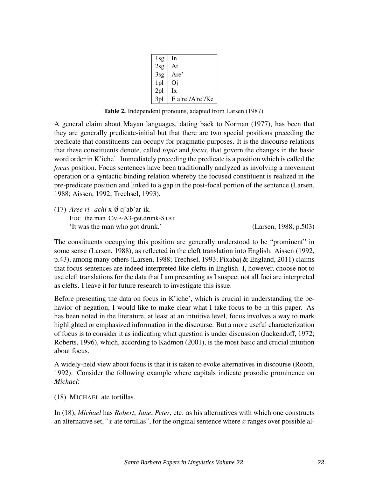| 1sg             | 1 <sub>n</sub>   |
|-----------------|------------------|
| 2sg             | At               |
| 3sg             | Are'             |
| 1pl             | Oi               |
| 2 <sub>pl</sub> | Ix               |
| 3 <sub>pl</sub> | E a're'/A're'/Ke |

Table 2. Independent pronouns, adapted from Larsen (1987).

A general claim about Mayan languages, dating back to Norman (1977), has been that they are generally predicate-initial but that there are two special positions preceding the predicate that constituents can occupy for pragmatic purposes. It is the discourse relations that these constituents denote, called *topic* and *focus*, that govern the changes in the basic word order in K'iche'. Immediately preceding the predicate is a position which is called the *focus* position. Focus sentences have been traditionally analyzed as involving a movement operation or a syntactic binding relation whereby the focused constituent is realized in the pre-predicate position and linked to a gap in the post-focal portion of the sentence (Larsen, 1988; Aissen, 1992; Trechsel, 1993).

(17) *Aree ri achi* x-0-q'ab'ar-ik. ✁ Foc the man CMP-A3-get.drunk-STAT 'It was the man who got drunk.' (Larsen, 1988, p.503)

The constituents occupying this position are generally understood to be "prominent" in some sense (Larsen, 1988), as reflected in the cleft translation into English. Aissen (1992, p.43), among many others (Larsen, 1988; Trechsel, 1993; Pixabaj & England, 2011) claims that focus sentences are indeed interpreted like clefts in English. I, however, choose not to use cleft translations for the data that I am presenting as I suspect not all foci are interpreted as clefts. I leave it for future research to investigate this issue.

Before presenting the data on focus in K'iche', which is crucial in understanding the behavior of negation, I would like to make clear what I take focus to be in this paper. As has been noted in the literature, at least at an intuitive level, focus involves a way to mark highlighted or emphasized information in the discourse. But a more useful characterization of focus is to consider it as indicating what question is under discussion (Jackendoff, 1972; Roberts, 1996), which, according to Kadmon (2001), is the most basic and crucial intuition about focus.

A widely-held view about focus is that it is taken to evoke alternatives in discourse (Rooth, 1992). Consider the following example where capitals indicate prosodic prominence on *Michael*:

(18) MICHAEL ate tortillas.

In (18), *Michael* has *Robert*, *Jane*, *Peter*, etc. as his alternatives with which one constructs an alternative set, "x ate tortillas", for the original sentence where x ranges over possible al-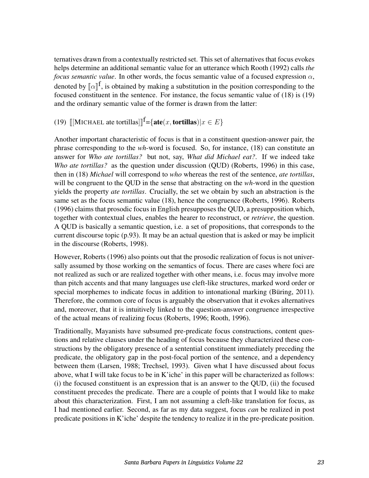ternatives drawn from a contextually restricted set. This set of alternatives that focus evokes helps determine an additional semantic value for an utterance which Rooth (1992) calls *the focus semantic value*. In other words, the focus semantic value of a focused expression  $\alpha$ , denoted by  $[\![\alpha]\!]^f$ , is obtained by making a substitution in the position corresponding to the focused constituent in the sentence. For instance, the focus semantic value of (18) is (10) focused constituent in the sentence. For instance, the focus semantic value of (18) is (19) and the ordinary semantic value of the former is drawn from the latter:

(19) [[MICHAEL ate tortillas]]<sup>f</sup>={**ate**(*x*, **tortillas**)|*x*  $\in E$ }

Another important characteristic of focus is that in a constituent question-answer pair, the phrase corresponding to the *wh*-word is focused. So, for instance, (18) can constitute an answer for *Who ate tortillas?* but not, say, *What did Michael eat?*. If we indeed take *Who ate tortillas?* as the question under discussion (QUD) (Roberts, 1996) in this case, then in (18) *Michael* will correspond to *who* whereas the rest of the sentence, *ate tortillas*, will be congruent to the QUD in the sense that abstracting on the *wh-*word in the question yields the property *ate tortillas*. Crucially, the set we obtain by such an abstraction is the same set as the focus semantic value (18), hence the congruence (Roberts, 1996). Roberts (1996) claims that prosodic focus in English presupposes the QUD, a presupposition which, together with contextual clues, enables the hearer to reconstruct, or *retrieve*, the question. A QUD is basically a semantic question, i.e. a set of propositions, that corresponds to the current discourse topic (p.93). It may be an actual question that is asked or may be implicit in the discourse (Roberts, 1998).

However, Roberts (1996) also points out that the prosodic realization of focus is not universally assumed by those working on the semantics of focus. There are cases where foci are not realized as such or are realized together with other means, i.e. focus may involve more than pitch accents and that many languages use cleft-like structures, marked word order or special morphemes to indicate focus in addition to intonational marking (Büring, 2011). Therefore, the common core of focus is arguably the observation that it evokes alternatives and, moreover, that it is intuitively linked to the question-answer congruence irrespective of the actual means of realizing focus (Roberts, 1996; Rooth, 1996).

Traditionally, Mayanists have subsumed pre-predicate focus constructions, content questions and relative clauses under the heading of focus because they characterized these constructions by the obligatory presence of a sentential constituent immediately preceding the predicate, the obligatory gap in the post-focal portion of the sentence, and a dependency between them (Larsen, 1988; Trechsel, 1993). Given what I have discussed about focus above, what I will take focus to be in K'iche' in this paper will be characterized as follows: (i) the focused constituent is an expression that is an answer to the QUD, (ii) the focused constituent precedes the predicate. There are a couple of points that I would like to make about this characterization. First, I am not assuming a cleft-like translation for focus, as I had mentioned earlier. Second, as far as my data suggest, focus *can* be realized in post predicate positions in K'iche' despite the tendency to realize it in the pre-predicate position.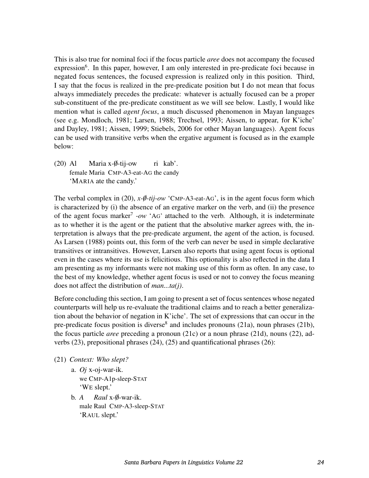This is also true for nominal foci if the focus particle *aree* does not accompany the focused expression<sup>6</sup>. In this paper, however, I am only interested in pre-predicate foci because in negated focus sentences, the focused expression is realized only in this position. Third, I say that the focus is realized in the pre-predicate position but I do not mean that focus always immediately precedes the predicate: whatever is actually focused can be a proper sub-constituent of the pre-predicate constituent as we will see below. Lastly, I would like mention what is called *agent focus*, a much discussed phenomenon in Mayan languages (see e.g. Mondloch, 1981; Larsen, 1988; Trechsel, 1993; Aissen, to appear, for K'iche' and Dayley, 1981; Aissen, 1999; Stiebels, 2006 for other Mayan languages). Agent focus can be used with transitive verbs when the ergative argument is focused as in the example below:

(20) Al female Maria CMP-A3-eat-AG the candy Maria x-Ø-tij-ow ri kab'. 'MARIA ate the candy.'

The verbal complex in (20),  $x \cdot \phi - tij$  ow 'CMP-A3-eat-AG', is in the agent focus form which is characterized by (i) the absence of an ergative marker on the verb, and (ii) the presence of the agent focus marker<sup>7</sup> -ow 'AG' attached to the verb. Although, it is indeterminate as to whether it is the agent or the patient that the absolutive marker agrees with, the interpretation is always that the pre-predicate argument, the agent of the action, is focused. As Larsen (1988) points out, this form of the verb can never be used in simple declarative transitives or intransitives. However, Larsen also reports that using agent focus is optional even in the cases where its use is felicitious. This optionality is also reflected in the data I am presenting as my informants were not making use of this form as often. In any case, to the best of my knowledge, whether agent focus is used or not to convey the focus meaning does not affect the distribution of *man...ta(j)*.

Before concluding this section, I am going to present a set of focus sentences whose negated counterparts will help us re-evaluate the traditional claims and to reach a better generalization about the behavior of negation in K'iche'. The set of expressions that can occur in the pre-predicate focus position is diverse<sup>8</sup> and includes pronouns (21a), noun phrases (21b), the focus particle *aree* preceding a pronoun (21c) or a noun phrase (21d), nouns (22), adverbs (23), prepositional phrases (24), (25) and quantificational phrases (26):

- (21) *Context: Who slept?*
	- a. *Oj* x-oj-war-ik. we CMP-A1p-sleep-STAT 'WE slept.'
	- b. *A* male Raul CMP-A3-sleep-STAT *Raul* x-0-war-ik. ✁ 'RAUL slept.'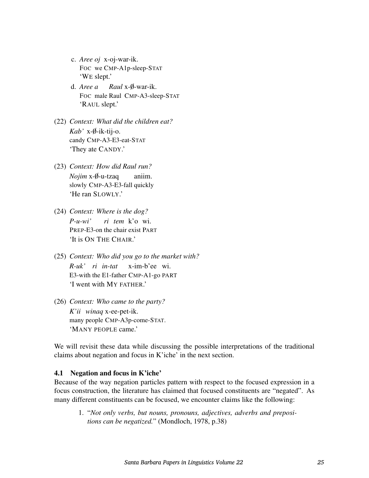- c. *Aree oj* x-oj-war-ik. FOC we CMP-A1p-sleep-STAT 'WE slept.'
- d. *Aree a* Raul x-Ø-war-ik. FOC male Raul CMP-A3-sleep-STAT 'RAUL slept.'
- (22) *Context: What did the children eat? Kab'* x-0-ik-tij-o. ✁ candy CMP-A3-E3-eat-STAT 'They ate CANDY.'
- (23) *Context: How did Raul run? Nojim* x-Ø-u-tzaq slowly CMP-A3-E3-fall quickly aniim. 'He ran SLOWLY.'
- (24) *Context: Where is the dog? P-u-wi'* PREP-E3-on the chair exist PART *ri tem* k'o wi. 'It is ON THE CHAIR.'
- (25) *Context: Who did you go to the market with? R-uk' ri in-tat* x-im-b'ee wi. E3-with the E1-father CMP-A1-go PART 'I went with MY FATHER.'
- (26) *Context: Who came to the party? K'ii winaq* x-ee-pet-ik. many people CMP-A3p-come-STAT. 'MANY PEOPLE came.'

We will revisit these data while discussing the possible interpretations of the traditional claims about negation and focus in K'iche' in the next section.

#### 4.1 Negation and focus in K'iche'

Because of the way negation particles pattern with respect to the focused expression in a focus construction, the literature has claimed that focused constituents are "negated". As many different constituents can be focused, we encounter claims like the following:

1. "*Not only verbs, but nouns, pronouns, adjectives, adverbs and prepositions can be negatized.*" (Mondloch, 1978, p.38)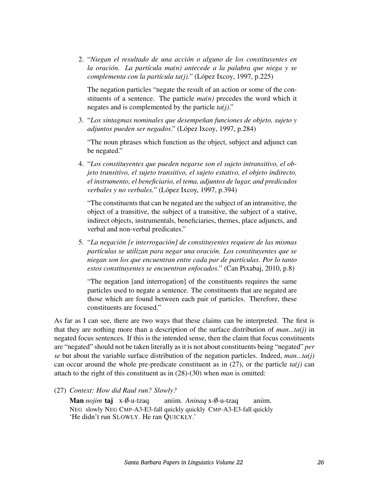2. "*Niegan el resultado de una accion o alguno de los constituyentes en ´ la oracion. La part ´ ´ıcula ma(n) antecede a la palabra que niega y se complementa con la partícula ta(j).*" (López Ixcoy, 1997, p.225)

The negation particles "negate the result of an action or some of the constituents of a sentence. The particle  $ma(n)$  precedes the word which it negates and is complemented by the particle *ta(j)*."

3. "*Los sintagmas nominales que desempenan funciones de objeto, sujeto y ˜ adjuntos pueden ser negados*." (Lopez Ixcoy, 1997, p.284) ´

"The noun phrases which function as the object, subject and adjunct can be negated."

4. "*Los constituyentes que pueden negarse son el sujeto intransitivo, el objeto transitivo, el sujeto transitivo, el sujeto estativo, el objeto indirecto, el instrumento, el beneficiario, el tema, adjuntos de lugar, and predicados verbales y no verbales.*" (López Ixcoy, 1997, p.394)

"The constituents that can be negated are the subject of an intransitive, the object of a transitive, the subject of a transitive, the subject of a stative, indirect objects, instrumentals, beneficiaries, themes, place adjuncts, and verbal and non-verbal predicates."

5. "*La negacion [e interrogaci ´ on] de constituyentes requiere de las mismas ´ part´ıculas se utilizan para negar una oracion. Los constituyentes que se ´ niegan son los que encuentran entre cada par de part´ıculas. Por lo tanto estos constituyentes se encuentran enfocados.*" (Can Pixabaj, 2010, p.8)

"The negation [and interrogation] of the constituents requires the same particles used to negate a sentence. The constituents that are negated are those which are found between each pair of particles. Therefore, these constituents are focused."

As far as I can see, there are two ways that these claims can be interpreted. The first is that they are nothing more than a description of the surface distribution of *man...ta(j)* in negated focus sentences. If this is the intended sense, then the claim that focus constituents are "negated" should not be taken literally as it is not about constituents being "negated" *per se* but about the variable surface distribution of the negation particles. Indeed, *man...ta(j)* can occur around the whole pre-predicate constituent as in  $(27)$ , or the particle  $ta(i)$  can attach to the right of this constituent as in (28)-(30) when *man* is omitted:

(27) *Context: How did Raul run? Slowly?*

Man *nojim* taj x-Ø-u-tzaq NEG slowly NEG CMP-A3-E3-fall quickly quickly CMP-A3-E3-fall quickly aniim. Aninaq x-Ø-u-tzaq aniim. 'He didn't run SLOWLY. He ran QUICKLY.'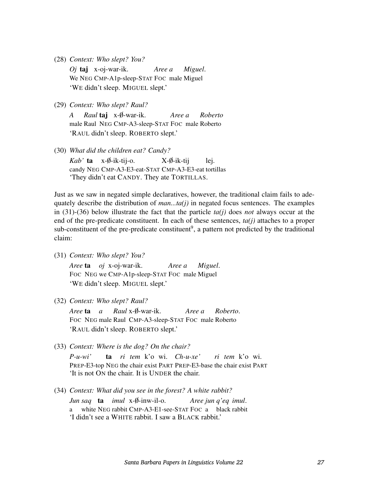(28) *Context: Who slept? You?*

*Oj* taj x-oj-war-ik. We NEG CMP-A1p-sleep-STAT FOC male Miguel *Aree a Miguel*. 'WE didn't sleep. MIGUEL slept.'

(29) *Context: Who slept? Raul?*

*A* male Raul NEG CMP-A3-sleep-STAT FOC male Roberto *Raul* **taj** x-Ø-war-ik. *Aree a Roberto* 'RAUL didn't sleep. ROBERTO slept.'

(30) *What did the children eat? Candy?*

*Kab'* **ta** x-Ø-ik-tij-o. candy NEG CMP-A3-E3-eat-STAT CMP-A3-E3-eat tortillas  $X-*\emptyset*-ik-tii$ lej. 'They didn't eat CANDY. They ate TORTILLAS.

Just as we saw in negated simple declaratives, however, the traditional claim fails to adequately describe the distribution of *man...ta(j)* in negated focus sentences. The examples in (31)-(36) below illustrate the fact that the particle *ta(j)* does *not* always occur at the end of the pre-predicate constituent. In each of these sentences, *ta(j)* attaches to a proper sub-constituent of the pre-predicate constituent<sup>9</sup>, a pattern not predicted by the traditional claim:

(31) *Context: Who slept? You?*

*Aree* ta *oj* x-oj-war-ik. FOC NEG we CMP-A1p-sleep-STAT FOC male Miguel *Aree a Miguel*. 'WE didn't sleep. MIGUEL slept.'

(32) *Context: Who slept? Raul?*

*Aree* **ta** a Raul x-Ø-war-ik. FOC NEG male Raul CMP-A3-sleep-STAT FOC male Roberto *Aree a Roberto*. 'RAUL didn't sleep. ROBERTO slept.'

(33) *Context: Where is the dog? On the chair?*

*P-u-wi'* PREP-E3-top NEG the chair exist PART PREP-E3-base the chair exist PART ta *ri tem* k'o wi. *Ch-u-xe' ri tem* k'o wi. 'It is not ON the chair. It is UNDER the chair.

(34) *Context: What did you see in the forest? A white rabbit? Jun saq* ta *imul* x- $\emptyset$ -inw-il-o. a white NEG rabbit CMP-A3-E1-see-STAT FOC a black rabbit *Aree jun q'eq imul*. 'I didn't see a WHITE rabbit. I saw a BLACK rabbit.'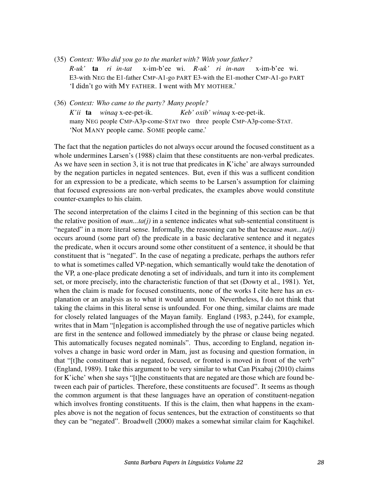- (35) *Context: Who did you go to the market with? With your father? R-uk'* ta *ri in-tat* E3-with NEG the E1-father CMP-A1-go PART E3-with the E1-mother CMP-A1-go PART x-im-b'ee wi. *R-uk' ri in-nan* x-im-b'ee wi. 'I didn't go with MY FATHER. I went with MY MOTHER.'
- (36) *Context: Who came to the party? Many people? K'ii* ta *winaq* x-ee-pet-ik. many NEG people CMP-A3p-come-STAT two three people CMP-A3p-come-STAT. *Keb' oxib' winaq* x-ee-pet-ik. 'Not MANY people came. SOME people came.'

The fact that the negation particles do not always occur around the focused constituent as a whole undermines Larsen's (1988) claim that these constituents are non-verbal predicates. As we have seen in section 3, it is not true that predicates in K'iche' are always surrounded by the negation particles in negated sentences. But, even if this was a sufficent condition for an expression to be a predicate, which seems to be Larsen's assumption for claiming that focused expressions are non-verbal predicates, the examples above would constitute counter-examples to his claim.

The second interpretation of the claims I cited in the beginning of this section can be that the relative position of *man...ta(j)* in a sentence indicates what sub-sentential constituent is "negated" in a more literal sense. Informally, the reasoning can be that because *man...ta(j)* occurs around (some part of) the predicate in a basic declarative sentence and it negates the predicate, when it occurs around some other constituent of a sentence, it should be that constituent that is "negated". In the case of negating a predicate, perhaps the authors refer to what is sometimes called VP-negation, which semantically would take the denotation of the VP, a one-place predicate denoting a set of individuals, and turn it into its complement set, or more precisely, into the characteristic function of that set (Dowty et al., 1981). Yet, when the claim is made for focused constituents, none of the works I cite here has an explanation or an analysis as to what it would amount to. Nevertheless, I do not think that taking the claims in this literal sense is unfounded. For one thing, similar claims are made for closely related languages of the Mayan family. England (1983, p.244), for example, writes that in Mam "[n]egation is accomplished through the use of negative particles which are first in the sentence and followed immediately by the phrase or clause being negated. This automatically focuses negated nominals". Thus, according to England, negation involves a change in basic word order in Mam, just as focusing and question formation, in that "[t]he constituent that is negated, focused, or fronted is moved in front of the verb" (England, 1989). I take this argument to be very similar to what Can Pixabaj (2010) claims for K'iche' when she says "[t]he constituents that are negated are those which are found between each pair of particles. Therefore, these constituents are focused". It seems as though the common argument is that these languages have an operation of constituent-negation which involves fronting constituents. If this is the claim, then what happens in the examples above is not the negation of focus sentences, but the extraction of constituents so that they can be "negated". Broadwell (2000) makes a somewhat similar claim for Kaqchikel.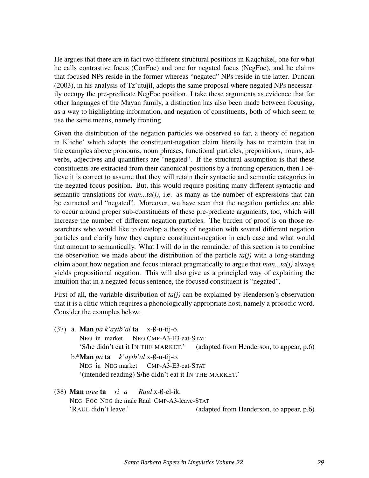He argues that there are in fact two different structural positions in Kaqchikel, one for what he calls contrastive focus (ConFoc) and one for negated focus (NegFoc), and he claims that focused NPs reside in the former whereas "negated" NPs reside in the latter. Duncan (2003), in his analysis of Tz'utujil, adopts the same proposal where negated NPs necessarily occupy the pre-predicate NegFoc position. I take these arguments as evidence that for other languages of the Mayan family, a distinction has also been made between focusing, as a way to highlighting information, and negation of constituents, both of which seem to use the same means, namely fronting.

Given the distribution of the negation particles we observed so far, a theory of negation in K'iche' which adopts the constituent-negation claim literally has to maintain that in the examples above pronouns, noun phrases, functional particles, prepositions, nouns, adverbs, adjectives and quantifiers are "negated". If the structural assumption is that these constituents are extracted from their canonical positions by a fronting operation, then I believe it is correct to assume that they will retain their syntactic and semantic categories in the negated focus position. But, this would require positing many different syntactic and semantic translations for *man...ta(j)*, i.e. as many as the number of expressions that can be extracted and "negated". Moreover, we have seen that the negation particles are able to occur around proper sub-constituents of these pre-predicate arguments, too, which will increase the number of different negation particles. The burden of proof is on those researchers who would like to develop a theory of negation with several different negation particles and clarify how they capture constituent-negation in each case and what would that amount to semantically. What I will do in the remainder of this section is to combine the observation we made about the distribution of the particle *ta(j)* with a long-standing claim about how negation and focus interact pragmatically to argue that *man...ta(j)* always yields propositional negation. This will also give us a principled way of explaining the intuition that in a negated focus sentence, the focused constituent is "negated".

First of all, the variable distribution of  $ta(j)$  can be explained by Henderson's observation that it is a clitic which requires a phonologically appropriate host, namely a prosodic word. Consider the examples below:

(37) a. Man *pa k'ayib'al* ta NEG in market NEG CMP-A3-E3-eat-STAT  $x-\emptyset$ -u-tij-o. 'S/he didn't eat it IN THE MARKET.' (adapted from Henderson, to appear, p.6) b.\***Man** *pa* **ta** *k'ayib'al* x-Ø-u-tij-o.

NEG in NEG market CMP-A3-E3-eat-STAT '(intended reading) S/he didn't eat it IN THE MARKET.'

(38) Man *aree* ta *ri a* NEG FOC NEG the male Raul CMP-A3-leave-STAT *Raul* x-0-el-ik. ✁ 'RAUL didn't leave.' (adapted from Henderson, to appear, p.6)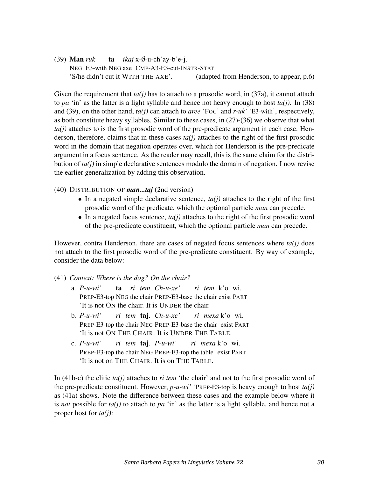(39) **Man** ruk' **ta** *ikaj* x-Ø-u-ch'ay-b'e-j. NEG E3-with NEG axe CMP-A3-E3-cut-INSTR-STAT 'S/he didn't cut it WITH THE AXE'. (adapted from Henderson, to appear, p.6)

Given the requirement that  $ta(i)$  has to attach to a prosodic word, in (37a), it cannot attach to *pa* 'in' as the latter is a light syllable and hence not heavy enough to host  $ta(j)$ . In (38) and (39), on the other hand, *ta(j)* can attach to *aree* 'FOC' and *r-uk'* 'E3-with', respectively, as both constitute heavy syllables. Similar to these cases, in (27)-(36) we observe that what *ta(j)* attaches to is the first prosodic word of the pre-predicate argument in each case. Henderson, therefore, claims that in these cases  $ta(i)$  attaches to the right of the first prosodic word in the domain that negation operates over, which for Henderson is the pre-predicate argument in a focus sentence. As the reader may recall, this is the same claim for the distribution of *ta(j)* in simple declarative sentences modulo the domain of negation. I now revise the earlier generalization by adding this observation.

- (40) DISTRIBUTION OF *man...taj* (2nd version)
	- In a negated simple declarative sentence,  $ta(j)$  attaches to the right of the first prosodic word of the predicate, which the optional particle *man* can precede.
	- In a negated focus sentence,  $ta(j)$  attaches to the right of the first prosodic word of the pre-predicate constituent, which the optional particle *man* can precede.

However, contra Henderson, there are cases of negated focus sentences where  $ta(i)$  does not attach to the first prosodic word of the pre-predicate constituent. By way of example, consider the data below:

- (41) *Context: Where is the dog? On the chair?*
	- a. *P-u-wi'* PREP-E3-top NEG the chair PREP-E3-base the chair exist PART ta *ri tem*. *Ch-u-xe' ri tem* k'o wi. 'It is not ON the chair. It is UNDER the chair.
	- b. *P-u-wi'* PREP-E3-top the chair NEG PREP-E3-base the chair exist PART *ri tem* taj. *Ch-u-xe' ri mexa* k'o wi. 'It is not ON THE CHAIR. It is UNDER THE TABLE.
	- c. *P-u-wi'* PREP-E3-top the chair NEG PREP-E3-top the table exist PART *ri tem* taj. *P-u-wi' ri mexa* k'o wi. 'It is not on THE CHAIR. It is on THE TABLE.

In (41b-c) the clitic *ta(j)* attaches to *ri tem* 'the chair' and not to the first prosodic word of the pre-predicate constituent. However, *p-u-wi'* 'PREP-E3-top'is heavy enough to host *ta(j)* as (41a) shows. Note the difference between these cases and the example below where it is *not* possible for *ta(j)* to attach to *pa* 'in' as the latter is a light syllable, and hence not a proper host for *ta(j)*: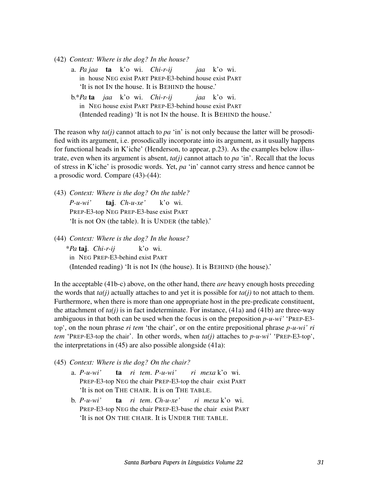- (42) *Context: Where is the dog? In the house?*
	- a. *Pa jaa* ta k'o wi. *Chi-r-ij* in house NEG exist PART PREP-E3-behind house exist PART *jaa* k'o wi. 'It is not IN the house. It is BEHIND the house.'
	- b.\**Pa* ta *jaa* k'o wi. *Chi-r-ij* in NEG house exist PART PREP-E3-behind house exist PART *jaa* k'o wi. (Intended reading) 'It is not IN the house. It is BEHIND the house.'

The reason why  $ta(i)$  cannot attach to  $pa$  'in' is not only because the latter will be prosodified with its argument, i.e. prosodically incorporate into its argument, as it usually happens for functional heads in K'iche' (Henderson, to appear, p.23). As the examples below illustrate, even when its argument is absent, *ta(j)* cannot attach to *pa* 'in'. Recall that the locus of stress in K'iche' is prosodic words. Yet, *pa* 'in' cannot carry stress and hence cannot be a prosodic word. Compare (43)-(44):

(43) *Context: Where is the dog? On the table? P-u-wi'* PREP-E3-top NEG PREP-E3-base exist PART taj. *Ch-u-xe'* k'o wi. 'It is not ON (the table). It is UNDER (the table).'

(44) *Context: Where is the dog? In the house?*

\**Pa* taj. *Chi-r-ij* in NEG PREP-E3-behind exist PART k'o wi. (Intended reading) 'It is not IN (the house). It is BEHIND (the house).'

In the acceptable (41b-c) above, on the other hand, there *are* heavy enough hosts preceding the words that  $ta(i)$  actually attaches to and yet it is possible for  $ta(i)$  to not attach to them. Furthermore, when there is more than one appropriate host in the pre-predicate constituent, the attachment of  $ta(i)$  is in fact indeterminate. For instance,  $(41a)$  and  $(41b)$  are three-way ambiguous in that both can be used when the focus is on the preposition *p-u-wi'* 'PREP-E3 top', on the noun phrase *ri tem* 'the chair', or on the entire prepositional phrase *p-u-wi' ri tem* 'PREP-E3-top the chair'. In other words, when *ta(j)* attaches to *p-u-wi'* 'PREP-E3-top', the interpretations in (45) are also possible alongside (41a):

- (45) *Context: Where is the dog? On the chair?*
	- a. *P-u-wi'* PREP-E3-top NEG the chair PREP-E3-top the chair exist PART ta *ri tem*. *P-u-wi' ri mexa* k'o wi. 'It is not on THE CHAIR. It is on THE TABLE.
	- b. *P-u-wi'* PREP-E3-top NEG the chair PREP-E3-base the chair exist PART ta *ri tem*. *Ch-u-xe' ri mexa* k'o wi. 'It is not ON THE CHAIR. It is UNDER THE TABLE.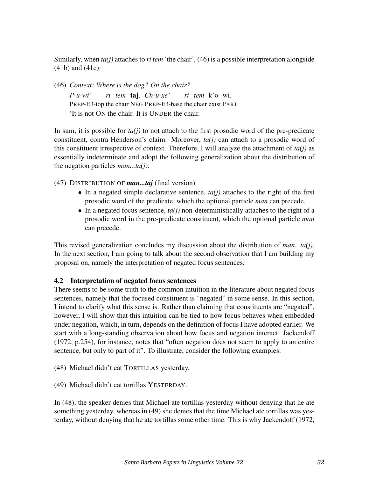Similarly, when *ta(j)* attaches to *ri tem* 'the chair', (46) is a possible interpretation alongside (41b) and (41c):

(46) *Context: Where is the dog? On the chair?*

*P-u-wi'* PREP-E3-top the chair NEG PREP-E3-base the chair exist PART *ri tem* taj. *Ch-u-xe' ri tem* k'o wi. 'It is not ON the chair. It is UNDER the chair.

In sum, it is possible for  $ta(j)$  to not attach to the first prosodic word of the pre-predicate constituent, contra Henderson's claim. Moreover, *ta(j)* can attach to a prosodic word of this constituent irrespective of context. Therefore, I will analyze the attachment of  $ta(j)$  as essentially indeterminate and adopt the following generalization about the distribution of the negation particles *man...ta(j)*:

(47) DISTRIBUTION OF *man...taj* (final version)

- In a negated simple declarative sentence,  $ta(j)$  attaches to the right of the first prosodic word of the predicate, which the optional particle *man* can precede.
- In a negated focus sentence,  $ta(j)$  non-deterministically attaches to the right of a prosodic word in the pre-predicate constituent, which the optional particle *man* can precede.

This revised generalization concludes my discussion about the distribution of *man...ta(j)*. In the next section, I am going to talk about the second observation that I am building my proposal on, namely the interpretation of negated focus sentences.

## 4.2 Interpretation of negated focus sentences

There seems to be some truth to the common intuition in the literature about negated focus sentences, namely that the focused constituent is "negated" in some sense. In this section, I intend to clarify what this sense is. Rather than claiming that constituents are "negated", however, I will show that this intuition can be tied to how focus behaves when embedded under negation, which, in turn, depends on the definition of focus I have adopted earlier. We start with a long-standing observation about how focus and negation interact. Jackendoff (1972, p.254), for instance, notes that "often negation does not seem to apply to an entire sentence, but only to part of it". To illustrate, consider the following examples:

(48) Michael didn't eat TORTILLAS yesterday.

(49) Michael didn't eat tortillas YESTERDAY.

In (48), the speaker denies that Michael ate tortillas yesterday without denying that he ate something yesterday, whereas in (49) she denies that the time Michael ate tortillas was yesterday, without denying that he ate tortillas some other time. This is why Jackendoff (1972,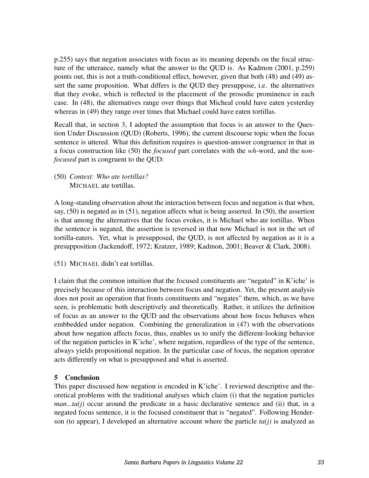p.255) says that negation associates with focus as its meaning depends on the focal structure of the utterance, namely what the answer to the QUD is. As Kadmon (2001, p.259) points out, this is not a truth-conditional effect, however, given that both (48) and (49) assert the same proposition. What differs is the QUD they presuppose, i.e. the alternatives that they evoke, which is reflected in the placement of the prosodic prominence in each case. In (48), the alternatives range over things that Micheal could have eaten yesterday whereas in (49) they range over times that Michael could have eaten tortillas.

Recall that, in section 3, I adopted the assumption that focus is an answer to the Question Under Discussion (QUD) (Roberts, 1996), the current discourse topic when the focus sentence is uttered. What this definition requires is question-answer congruence in that in a focus construction like (50) the *focused* part correlates with the *wh-*word, and the *nonfocused* part is congruent to the QUD:

(50) *Context: Who ate tortillas?* MICHAEL ate tortillas.

A long-standing observation about the interaction between focus and negation is that when, say, (50) is negated as in (51), negation affects what is being asserted. In (50), the assertion is that among the alternatives that the focus evokes, it is Michael who ate tortillas. When the sentence is negated, the assertion is reversed in that now Michael is not in the set of tortilla-eaters. Yet, what is presupposed, the QUD, is not affected by negation as it is a presupposition (Jackendoff, 1972; Kratzer, 1989; Kadmon, 2001; Beaver & Clark, 2008).

(51) MICHAEL didn't eat tortillas.

I claim that the common intuition that the focused constituents are "negated" in K'iche' is precisely because of this interaction between focus and negation. Yet, the present analysis does not posit an operation that fronts constituents and "negates" them, which, as we have seen, is problematic both descriptively and theoretically. Rather, it utilizes the definition of focus as an answer to the QUD and the observations about how focus behaves when embbedded under negation. Combining the generalization in (47) with the observations about how negation affects focus, thus, enables us to unify the different-looking behavior of the negation particles in K'iche', where negation, regardless of the type of the sentence, always yields propositional negation. In the particular case of focus, the negation operator acts differently on what is presupposed and what is asserted.

# 5 Conclusion

This paper discussed how negation is encoded in K'iche'. I reviewed descriptive and theoretical problems with the traditional analyses which claim (i) that the negation particles *man...ta(j)* occur around the predicate in a basic declarative sentence and (ii) that, in a negated focus sentence, it is the focused constituent that is "negated". Following Henderson (to appear), I developed an alternative account where the particle *ta(j)* is analyzed as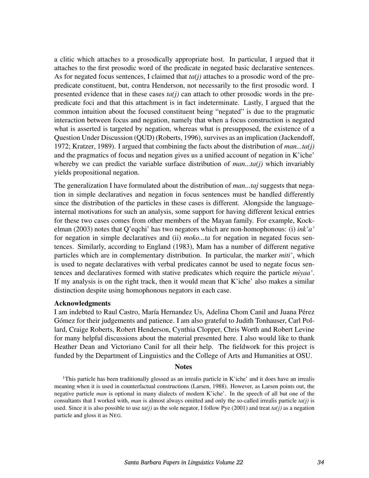a clitic which attaches to a prosodically appropriate host. In particular, I argued that it attaches to the first prosodic word of the predicate in negated basic declarative sentences. As for negated focus sentences, I claimed that *ta(j)* attaches to a prosodic word of the prepredicate constituent, but, contra Henderson, not necessarily to the first prosodic word. I presented evidence that in these cases *ta(j)* can attach to other prosodic words in the prepredicate foci and that this attachment is in fact indeterminate. Lastly, I argued that the common intuition about the focused constituent being "negated" is due to the pragmatic interaction between focus and negation, namely that when a focus construction is negated what is asserted is targeted by negation, whereas what is presupposed, the existence of a Question Under Discussion (QUD) (Roberts, 1996), survives as an implication (Jackendoff, 1972; Kratzer, 1989). I argued that combining the facts about the distribution of *man...ta(j)* and the pragmatics of focus and negation gives us a unified account of negation in K'iche' whereby we can predict the variable surface distribution of *man...ta(j)* which invariably yields propositional negation.

The generalization I have formulated about the distribution of *man...taj* suggests that negation in simple declaratives and negation in focus sentences must be handled differently since the distribution of the particles in these cases is different. Alongside the languageinternal motivations for such an analysis, some support for having different lexical entries for these two cases comes from other members of the Mayan family. For example, Kockelman (2003) notes that Q'eqchi' has two negators which are non-homophonous: (i) *ink'a'* for negation in simple declaratives and (ii) *moko...ta* for negation in negated focus sentences. Similarly, according to England (1983), Mam has a number of different negative particles which are in complementary distribution. In particular, the marker *miti'*, which is used to negate declaratives with verbal predicates cannot be used to negate focus sentences and declaratives formed with stative predicates which require the particle *miyaa'*. If my analysis is on the right track, then it would mean that K'iche' also makes a similar distinction despite using homophonous negators in each case.

#### Acknowledgments

I am indebted to Raul Castro, María Hernandez Us, Adelina Chom Canil and Juana Pérez Gómez for their judgements and patience. I am also grateful to Judith Tonhauser, Carl Pollard, Craige Roberts, Robert Henderson, Cynthia Clopper, Chris Worth and Robert Levine for many helpful discussions about the material presented here. I also would like to thank Heather Dean and Victoriano Canil for all their help. The fieldwork for this project is funded by the Department of Linguistics and the College of Arts and Humanities at OSU.

#### **Notes**

<sup>1</sup>This particle has been traditionally glossed as an irrealis particle in K'iche' and it does have an irrealis meaning when it is used in counterfactual constructions (Larsen, 1988). However, as Larsen points out, the negative particle *man* is optional in many dialects of modern K'iche'. In the speech of all but one of the consultants that I worked with, *man* is almost always omitted and only the so-called irrealis particle *ta(j)* is used. Since it is also possible to use *ta(j)* as the sole negator, I follow Pye (2001) and treat *ta(j)* as a negation particle and gloss it as NEG.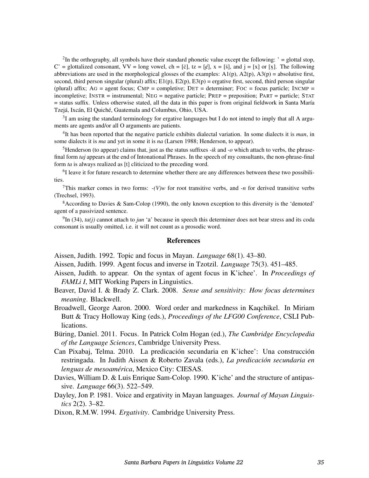<sup>2</sup>In the orthography, all symbols have their standard phonetic value except the following:  $i =$  glottal stop,  $C'$  = glottalized consonant,  $VV$  = long vowel, ch = [č], tz = [ $\epsilon$ ], x = [ $\tilde{s}$ ], and j = [x] or [x]. The following abbreviations are used in the morphological glosses of the examples:  $A1(p)$ ,  $A2(p)$ ,  $A3(p)$  = absolutive first, second, third person singular (plural) affix;  $E1(p)$ ,  $E2(p)$ ,  $E3(p)$  = ergative first, second, third person singular (plural) affix;  $AG = agent$  focus;  $AMP = completeive$ ;  $DET = determine$ ;  $FOC = focus$  particle;  $INCMP =$ incompletive; INSTR = instrumental; NEG = negative particle; PREP = preposition; PART = particle; STAT = status suffix. Unless otherwise stated, all the data in this paper is from original fieldwork in Santa María Tzejá, Ixcán, El Quiché, Guatemala and Columbus, Ohio, USA.

 $3I$  am using the standard terminology for ergative languages but I do not intend to imply that all A arguments are agents and/or all O arguments are patients.

4 It has been reported that the negative particle exhibits dialectal variation. In some dialects it is *man*, in some dialects it is *ma* and yet in some it is *na* (Larsen 1988; Henderson, to appear).

<sup>5</sup>Henderson (to appear) claims that, just as the status suffixes *-ik* and *-o* which attach to verbs, the phrasefinal form *taj* appears at the end of Intonational Phrases. In the speech of my consultants, the non-phrase-final form *ta* is always realized as [t] cliticized to the preceding word.

<sup>6</sup>I leave it for future research to determine whether there are any differences between these two possibilities.

<sup>7</sup>This marker comes in two forms:  $-(V)w$  for root transitive verbs, and *-n* for derived transitive verbs (Trechsel, 1993).

 $8$ According to Davies & Sam-Colop (1990), the only known exception to this diversity is the 'demoted' agent of a passivized sentence.

 $^{9}$ In (34), *ta(j)* cannot attach to *jun* 'a' because in speech this determiner does not bear stress and its coda consonant is usually omitted, i.e. it will not count as a prosodic word.

#### **References**

Aissen, Judith. 1992. Topic and focus in Mayan. *Language* 68(1). 43–80.

Aissen, Judith. 1999. Agent focus and inverse in Tzotzil. *Language* 75(3). 451–485.

- Aissen, Judith. to appear. On the syntax of agent focus in K'ichee'. In *Proceedings of FAMLi I*, MIT Working Papers in Linguistics.
- Beaver, David I. & Brady Z. Clark. 2008. *Sense and sensitivity: How focus determines meaning*. Blackwell.
- Broadwell, George Aaron. 2000. Word order and markedness in Kaqchikel. In Miriam Butt & Tracy Holloway King (eds.), *Proceedings of the LFG00 Conference*, CSLI Publications.

Büring, Daniel. 2011. Focus. In Patrick Colm Hogan (ed.), *The Cambridge Encyclopedia of the Language Sciences*, Cambridge University Press.

- Can Pixabaj, Telma. 2010. La predicación secundaria en K'ichee': Una construcción restringada. In Judith Aissen & Roberto Zavala (eds.), *La predicacion secundaria en ´ lenguas de mesoamérica*, Mexico City: CIESAS.
- Davies, William D. & Luis Enrique Sam-Colop. 1990. K'iche' and the structure of antipassive. *Language* 66(3). 522–549.
- Dayley, Jon P. 1981. Voice and ergativity in Mayan languages. *Journal of Mayan Linguistics* 2(2). 3–82.
- Dixon, R.M.W. 1994. *Ergativity*. Cambridge University Press.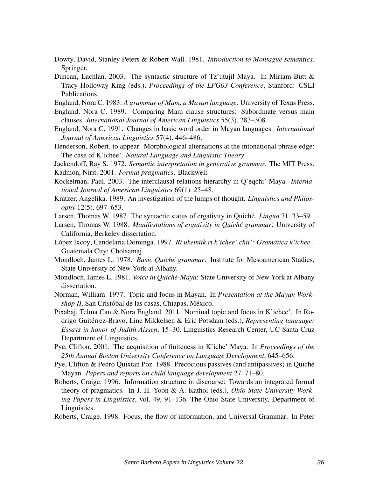- Dowty, David, Stanley Peters & Robert Wall. 1981. *Introduction to Montague semantics*. Springer.
- Duncan, Lachlan. 2003. The syntactic structure of Tz'utujil Maya. In Miriam Butt & Tracy Holloway King (eds.), *Proceedings of the LFG03 Conference*, Stanford: CSLI Publications.
- England, Nora C. 1983. *A grammar of Mam, a Mayan language*. University of Texas Press.
- England, Nora C. 1989. Comparing Mam clause structures: Subordinate versus main clauses. *International Journal of American Linguistics* 55(3). 283–308.
- England, Nora C. 1991. Changes in basic word order in Mayan languages. *International Journal of American Linguistics* 57(4). 446–486.
- Henderson, Robert. to appear. Morphological alternations at the intonational phrase edge: The case of K'ichee'. *Natural Language and Linguistic Theory*.

Jackendoff, Ray S. 1972. *Semantic interpretation in generative grammar*. The MIT Press.

Kadmon, Nirit. 2001. *Formal pragmatics*. Blackwell.

- Kockelman, Paul. 2003. The interclausal relations hierarchy in Q'eqchi' Maya. *International Journal of American Linguistics* 69(1). 25–48.
- Kratzer, Angelika. 1989. An investigation of the lumps of thought. *Linguistics and Philosophy* 12(5). 697–653.
- Larsen, Thomas W. 1987. The syntactic status of ergativity in Quiché. *Lingua* 71. 33–59.
- Larsen, Thomas W. 1988. *Manifestations of ergativity in Quiché grammar*: University of California, Berkeley dissertation.
- López Ixcoy, Candelaria Dominga. 1997. Ri ukemiik ri k'ichee' chii': Gramática k'ichee'. Guatemala City: Cholsamaj.
- Mondloch, James L. 1978. *Basic Quiche grammar ´* . Institute for Mesoamerican Studies, State University of New York at Albany.
- Mondloch, James L. 1981. *Voice in Quiché-Maya*: State University of New York at Albany dissertation.
- Norman, William. 1977. Topic and focus in Mayan. In *Presentation at the Mayan Workshop II*, San Cristóbal de las casas, Chiapas, México.
- Pixabaj, Telma Can & Nora England. 2011. Nominal topic and focus in K'ichee'. In Rodrigo Guitérrez-Bravo, Line Mikkelsen & Eric Potsdam (eds.), *Representing language: Essays in honor of Judith Aissen*, 15–30. Linguistics Research Center, UC Santa Cruz Department of Linguistics.
- Pye, Clifton. 2001. The acquisition of finiteness in K'iche' Maya. In *Proceedings of the 25th Annual Boston University Conference on Language Development*, 645–656.
- Pye, Clifton & Pedro Quixtan Poz. 1988. Precocious passives (and antipassives) in Quiché Mayan. *Papers and reports on child language development* 27. 71–80.
- Roberts, Craige. 1996. Information structure in discourse: Towards an integrated formal theory of pragmatics. In J. H. Yoon & A. Kathol (eds.), *Ohio State University Working Papers in Linguistics*, vol. 49, 91–136. The Ohio State University, Department of Linguistics.

Roberts, Craige. 1998. Focus, the flow of information, and Universal Grammar. In Peter